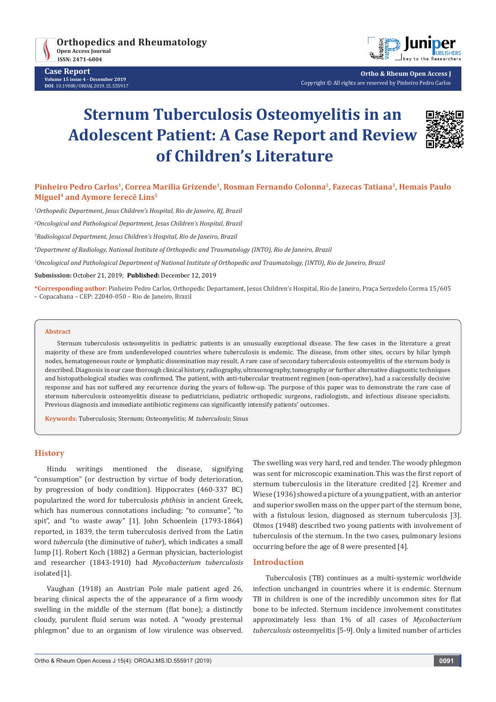

**Case Report Volume 15 issue 4 - December 2019 DOI**: [10.19080/OROAJ.2019.15.55591](http://dx.doi.org/10.19080/OROAJ.2019.15.555917)7



**Ortho & Rheum Open Access J** Copyright © All rights are reserved by Pinheiro Pedro Carlos

# **Sternum Tuberculosis Osteomyelitis in an Adolescent Patient: A Case Report and Review of Children's Literature**



**Pinheiro Pedro Carlos1, Correa Marilia Grizende1, Rosman Fernando Colonna2, Fazecas Tatiana3, Hemais Paulo Miguel4 and Aymore Ierecê Lins5**

*1 Orthopedic Department, Jesus Children's Hospital, Rio de Janeiro, RJ, Brazil*

*2 Oncological and Pathological Department, Jesus Children's Hospital, Brazil*

*3 Radiological Department, Jesus Children's Hospital, Rio de Janeiro, Brazil*

*4 Department of Radiology, National Institute of Orthopedic and Traumatology (INTO), Rio de Janeiro, Brazil*

*5 Oncological and Pathological Department of National Institute of Orthopedic and Traumatology, (INTO), Rio de Janeiro, Brazil*

**Submission:** October 21, 2019; **Published:** December 12, 2019

**\*Corresponding author:** Pinheiro Pedro Carlos, Orthopedic Departament, Jesus Children's Hospital, Rio de Janeiro, Praça Serzedelo Correa 15/605 – Copacabana – CEP: 22040-050 – Rio de Janeiro, Brazil

#### **Abstract**

Sternum tuberculosis osteomyelitis in pediatric patients is an unusually exceptional disease. The few cases in the literature a great majority of these are from underdeveloped countries where tuberculosis is endemic. The disease, from other sites, occurs by hilar lymph nodes, hematogeneous route or lymphatic dissemination may result. A rare case of secondary tuberculosis osteomyelitis of the sternum body is described. Diagnosis in our case thorough clinical history, radiography, ultrasonography, tomography or further alternative diagnostic techniques and histopathological studies was confirmed. The patient, with anti-tubercular treatment regimen (non-operative), had a successfully decisive response and has not suffered any recurrence during the years of follow-up. The purpose of this paper was to demonstrate the rare case of sternum tuberculosis osteomyelitis disease to pediatricians, pediatric orthopedic surgeons, radiologists, and infectious disease specialists. Previous diagnosis and immediate antibiotic regimens can significantly intensify patients' outcomes.

**Keywords:** Tuberculosis; Sternum; Osteomyelitis; *M. tuberculosis*; Sinus

#### **History**

Hindu writings mentioned the disease, signifying "consumption" (or destruction by virtue of body deterioration, by progression of body condition). Hippocrates (460-337 BC) popularized the word for tuberculosis *phthisis* in ancient Greek, which has numerous connotations including: "to consume", "to spit", and "to waste away" [1]. John Schoenlein (1793-1864) reported, in 1839, the term tuberculosis derived from the Latin word *tubercula* (the diminutive of *tuber*), which indicates a small lump [1]. Robert Koch (1882) a German physician, bacteriologist and researcher (1843-1910) had *Mycobacterium tuberculosis* isolated<sup>[1]</sup>.

Vaughan (1918) an Austrian Pole male patient aged 26, bearing clinical aspects the of the appearance of a firm woody swelling in the middle of the sternum (flat bone); a distinctly cloudy, purulent fluid serum was noted. A "woody presternal phlegmon" due to an organism of low virulence was observed. The swelling was very hard, red and tender. The woody phlegmon was sent for microscopic examination.This was the first report of sternum tuberculosis in the literature credited [2]. Kremer and Wiese (1936) showed a picture of a young patient, with an anterior and superior swollen mass on the upper part of the sternum bone, with a fistulous lesion, diagnosed as sternum tuberculosis [3]. Olmos (1948) described two young patients with involvement of tuberculosis of the sternum. In the two cases, pulmonary lesions occurring before the age of 8 were presented [4].

## **Introduction**

Tuberculosis (TB) continues as a multi-systemic worldwide infection unchanged in countries where it is endemic. Sternum TB in children is one of the incredibly uncommon sites for flat bone to be infected. Sternum incidence involvement constitutes approximately less than 1% of all cases of *Mycobacterium tuberculosis* osteomyelitis [5-9].Only a limited number of articles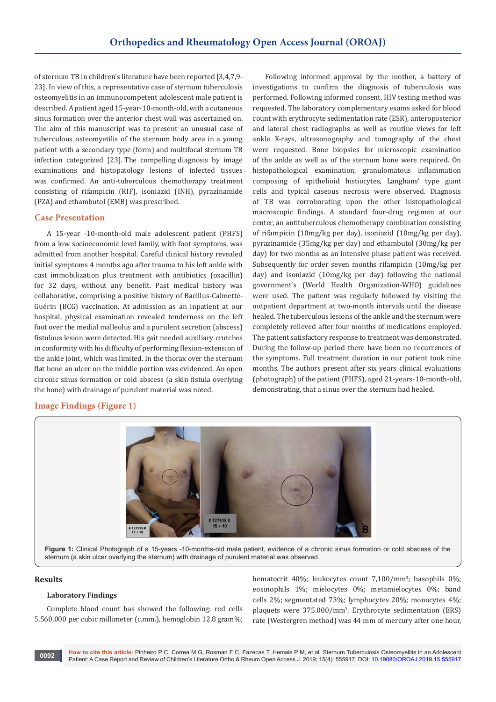of sternum TB in children's literature have been reported [3,4,7,9- 23]. In view of this, a representative case of sternum tuberculosis osteomyelitis in an immunocompetent adolescent male patient is described. A patient aged 15-year-10-month-old, with a cutaneous sinus formation over the anterior chest wall was ascertained on. The aim of this manuscript was to present an unusual case of tuberculous osteomyetilis of the sternum body area in a young patient with a secondary type (form) and multifocal sternum TB infection categorized [23]. The compelling diagnosis by image examinations and histopatology lesions of infected tissues was confirmed. An anti-tuberculous chemotherapy treatment consisting of rifampicin (RIF), isoniazid (INH), pyrazinamide (PZA) and ethambutol (EMB) was prescribed.

#### **Case Presentation**

A 15-year -10-month-old male adolescent patient (PHFS) from a low socioeconomic level family, with foot symptoms, was admitted from another hospital. Careful clinical history revealed initial symptoms 4 months ago after trauma to his left ankle with cast immobilization plus treatment with antibiotics (oxacillin) for 32 days, without any benefit. Past medical history was collaborative, comprising a positive history of Bacillus-Calmette-Guérin (BCG) vaccination. At admission as an inpatient at our hospital, physical examination revealed tenderness on the left foot over the medial malleolus and a purulent secretion (abscess) fistulous lesion were detected. His gait needed auxiliary crutches in conformity with his difficulty of performing flexion-extension of the ankle joint, which was limited. In the thorax over the sternum flat bone an ulcer on the middle portion was evidenced. An open chronic sinus formation or cold abscess (a skin fistula overlying the bone) with drainage of purulent material was noted.

#### **Image Findings (Figure 1)**

Following informed approval by the mother, a battery of investigations to confirm the diagnosis of tuberculosis was performed. Following informed consent, HIV testing method was requested. The laboratory complementary exams asked for blood count with erythrocyte sedimentation rate (ESR), anteroposterior and lateral chest radiographs as well as routine views for left ankle X-rays, ultrasonography and tomography of the chest were requested. Bone biopsies for microscopic examination of the ankle as well as of the sternum bone were required. On histopathological examination, granulomatous inflammation composing of epithelioid histiocytes, Langhans' type giant cells and typical caseous necrosis were observed. Diagnosis of TB was corroborating upon the other histopathological macroscopic findings. A standard four-drug regimen at our center, an antituberculous chemotherapy combination consisting of rifampicin (10mg/kg per day), isoniazid (10mg/kg per day), pyrazinamide (35mg/kg per day) and ethambutol (30mg/kg per day) for two months as an intensive phase patient was received. Subsequently for order seven months rifampicin (10mg/kg per day) and isoniazid (10mg/kg per day) following the national government's (World Health Organization-WHO) guidelines were used. The patient was regularly followed by visiting the outpatient department at two-month intervals until the disease healed. The tuberculous lesions of the ankle and the sternum were completely relieved after four months of medications employed. The patient satisfactory response to treatment was demonstrated. During the follow-up period there have been no recurrences of the symptoms. Full treatment duration in our patient took nine months. The authors present after six years clinical evaluations (photograph) of the patient (PHFS), aged 21-years-10-month-old, demonstrating, that a sinus over the sternum had healed.



**Figure 1:** Clinical Photograph of a 15-years -10-months-old male patient, evidence of a chronic sinus formation or cold abscess of the sternum (a skin ulcer overlying the sternum) with drainage of purulent material was observed.

#### **Results**

#### **Laboratory Findings**

Complete blood count has showed the following: red cells 5,560,000 per cubic millimeter (c.mm.), hemoglobin 12.8 gram%;

hematocrit 40%; leukocytes count 7,100/mm3 ; basophils 0%; eosinophils 1%; mielocytes 0%; metamielocytes 0%; band cells 2%; segmentated 73%; lymphocytes 20%; monocytes 4%; plaquets were 375.000/mm3 . Erythrocyte sedimentation (ERS) rate (Westergren method) was 44 mm of mercury after one hour,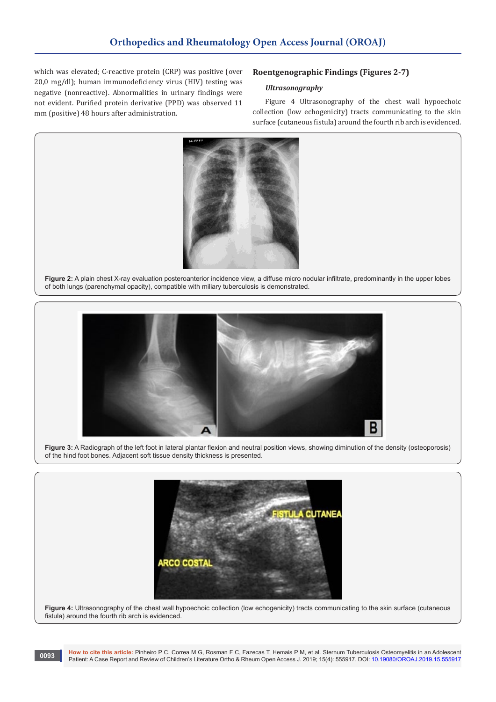which was elevated; C-reactive protein (CRP) was positive (over 20,0 mg/dl); human immunodeficiency virus (HIV) testing was negative (nonreactive). Abnormalities in urinary findings were not evident. Purified protein derivative (PPD) was observed 11 mm (positive) 48 hours after administration.

# **Roentgenographic Findings (Figures 2-7)**

#### *Ultrasonography*

Figure 4 Ultrasonography of the chest wall hypoechoic collection (low echogenicity) tracts communicating to the skin surface (cutaneous fistula) around the fourth rib arch is evidenced.



**Figure 2:** A plain chest X-ray evaluation posteroanterior incidence view, a diffuse micro nodular infiltrate, predominantly in the upper lobes of both lungs (parenchymal opacity), compatible with miliary tuberculosis is demonstrated.



**Figure 3:** A Radiograph of the left foot in lateral plantar flexion and neutral position views, showing diminution of the density (osteoporosis) of the hind foot bones. Adjacent soft tissue density thickness is presented.



Figure 4: Ultrasonography of the chest wall hypoechoic collection (low echogenicity) tracts communicating to the skin surface (cutaneous fistula) around the fourth rib arch is evidenced.

**How to cite this article:** Pinheiro P C, Correa M G, Rosman F C, Fazecas T, Hemais P M, et al. Sternum Tuberculosis Osteomyelitis in an Adolescent Patient: A Case Report and Review of Children's Literature Ortho & Rheum Open Access J. 2019; 15(4): 555917. DOI: [10.19080/OROAJ.2019.15.555917](http://dx.doi.org/10.19080/OROAJ.2019.15.555917) **<sup>0093</sup>**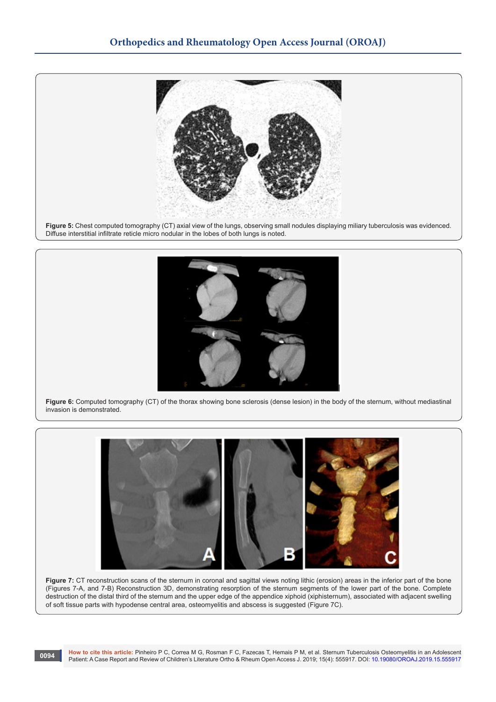

**Figure 5:** Chest computed tomography (CT) axial view of the lungs, observing small nodules displaying miliary tuberculosis was evidenced. Diffuse interstitial infiltrate reticle micro nodular in the lobes of both lungs is noted.



**Figure 6:** Computed tomography (CT) of the thorax showing bone sclerosis (dense lesion) in the body of the sternum, without mediastinal invasion is demonstrated.



Figure 7: CT reconstruction scans of the sternum in coronal and sagittal views noting lithic (erosion) areas in the inferior part of the bone (Figures 7-A, and 7-B) Reconstruction 3D, demonstrating resorption of the sternum segments of the lower part of the bone. Complete destruction of the distal third of the sternum and the upper edge of the appendice xiphoid (xiphisternum), associated with adjacent swelling of soft tissue parts with hypodense central area, osteomyelitis and abscess is suggested (Figure 7C).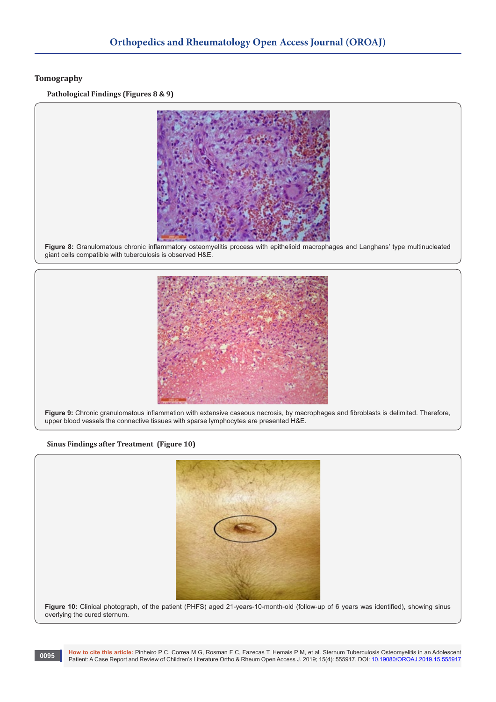## **Tomography**

**Pathological Findings (Figures 8 & 9)**



**Figure 8:** Granulomatous chronic inflammatory osteomyelitis process with epithelioid macrophages and Langhans' type multinucleated giant cells compatible with tuberculosis is observed H&E.



**Figure 9:** Chronic granulomatous inflammation with extensive caseous necrosis, by macrophages and fibroblasts is delimited. Therefore, upper blood vessels the connective tissues with sparse lymphocytes are presented H&E.

#### **Sinus Findings after Treatment (Figure 10)**



**Figure 10:** Clinical photograph, of the patient (PHFS) aged 21-years-10-month-old (follow-up of 6 years was identified), showing sinus overlying the cured sternum.

**How to cite this article:** Pinheiro P C, Correa M G, Rosman F C, Fazecas T, Hemais P M, et al. Sternum Tuberculosis Osteomyelitis in an Adolescent Patient: A Case Report and Review of Children's Literature Ortho & Rheum Open Access J. 2019; 15(4): 555917. DOI: [10.19080/OROAJ.2019.15.555917](http://dx.doi.org/10.19080/OROAJ.2019.15.555917) **<sup>0095</sup>**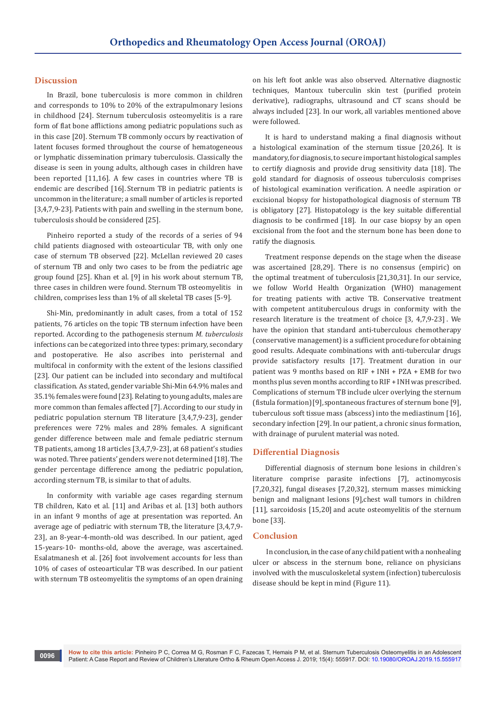#### **Discussion**

In Brazil, bone tuberculosis is more common in children and corresponds to 10% to 20% of the extrapulmonary lesions in childhood [24]. Sternum tuberculosis osteomyelitis is a rare form of flat bone afflictions among pediatric populations such as in this case [20]. Sternum TB commonly occurs by reactivation of latent focuses formed throughout the course of hematogeneous or lymphatic dissemination primary tuberculosis. Classically the disease is seen in young adults, although cases in children have been reported [11,16]. A few cases in countries where TB is endemic are described [16]. Sternum TB in pediatric patients is uncommon in the literature; a small number of articles is reported [3,4,7,9-23]. Patients with pain and swelling in the sternum bone, tuberculosis should be considered [25].

Pinheiro reported a study of the records of a series of 94 child patients diagnosed with osteoarticular TB, with only one case of sternum TB observed [22]. McLellan reviewed 20 cases of sternum TB and only two cases to be from the pediatric age group found [25]. Khan et al. [9] in his work about sternum TB, three cases in children were found. Sternum TB osteomyelitis in children, comprises less than 1% of all skeletal TB cases [5-9].

Shi-Min, predominantly in adult cases, from a total of 152 patients, 76 articles on the topic TB sternum infection have been reported. According to the pathogenesis sternum *M. tuberculosis* infections can be categorized into three types: primary, secondary and postoperative. He also ascribes into peristernal and multifocal in conformity with the extent of the lesions classified [23]. Our patient can be included into secondary and multifocal classification. As stated, gender variable Shi-Min 64.9% males and 35.1% females were found [23]. Relating to young adults, males are more common than females affected [7]. According to our study in pediatric population sternum TB literature [3,4,7,9-23], gender preferences were 72% males and 28% females. A significant gender difference between male and female pediatric sternum TB patients, among 18 articles [3,4,7,9-23], at 68 patient's studies was noted. Three patients' genders were not determined [18]. The gender percentage difference among the pediatric population, according sternum TB, is similar to that of adults.

In conformity with variable age cases regarding sternum TB children, Kato et al. [11] and Aribas et al. [13] both authors in an infant 9 months of age at presentation was reported. An average age of pediatric with sternum TB, the literature [3,4,7,9- 23], an 8-year-4-month-old was described. In our patient, aged 15-years-10- months-old, above the average, was ascertained. Esalatmanesh et al. [26] foot involvement accounts for less than 10% of cases of osteoarticular TB was described. In our patient with sternum TB osteomyelitis the symptoms of an open draining

on his left foot ankle was also observed. Alternative diagnostic techniques, Mantoux tuberculin skin test (purified protein derivative), radiographs, ultrasound and CT scans should be always included [23]. In our work, all variables mentioned above were followed.

It is hard to understand making a final diagnosis without a histological examination of the sternum tissue [20,26]. It is mandatory, for diagnosis, to secure important histological samples to certify diagnosis and provide drug sensitivity data [18]. The gold standard for diagnosis of osseous tuberculosis comprises of histological examination verification. A needle aspiration or excisional biopsy for histopathological diagnosis of sternum TB is obligatory [27]. Histopatology is the key suitable differential diagnosis to be confirmed [18]. In our case biopsy by an open excisional from the foot and the sternum bone has been done to ratify the diagnosis.

Treatment response depends on the stage when the disease was ascertained [28,29]. There is no consensus (empiric) on the optimal treatment of tuberculosis [21,30,31]. In our service, we follow World Health Organization (WHO) management for treating patients with active TB. Conservative treatment with competent antituberculous drugs in conformity with the research literature is the treatment of choice [3, 4,7,9-23] . We have the opinion that standard anti-tuberculous chemotherapy (conservative management) is a sufficient procedure for obtaining good results. Adequate combinations with anti-tubercular drugs provide satisfactory results [17]. Treatment duration in our patient was 9 months based on RIF + INH + PZA + EMB for two months plus seven months according to RIF + INH was prescribed. Complications of sternum TB include ulcer overlying the sternum (fistula formation)[9], spontaneous fractures of sternum bone [9], tuberculous soft tissue mass (abscess) into the mediastinum [16], secondary infection [29]. In our patient, a chronic sinus formation, with drainage of purulent material was noted.

#### **Differential Diagnosis**

Differential diagnosis of sternum bone lesions in children`s literature comprise parasite infections [7], actinomycosis [7,20,32], fungal diseases [7,20,32], sternum masses mimicking benign and malignant lesions [9],chest wall tumors in children [11], sarcoidosis [15,20] and acute osteomyelitis of the sternum bone [33].

#### **Conclusion**

 In conclusion, in the case of any child patient with a nonhealing ulcer or abscess in the sternum bone, reliance on physicians involved with the musculoskeletal system (infection) tuberculosis disease should be kept in mind (Figure 11).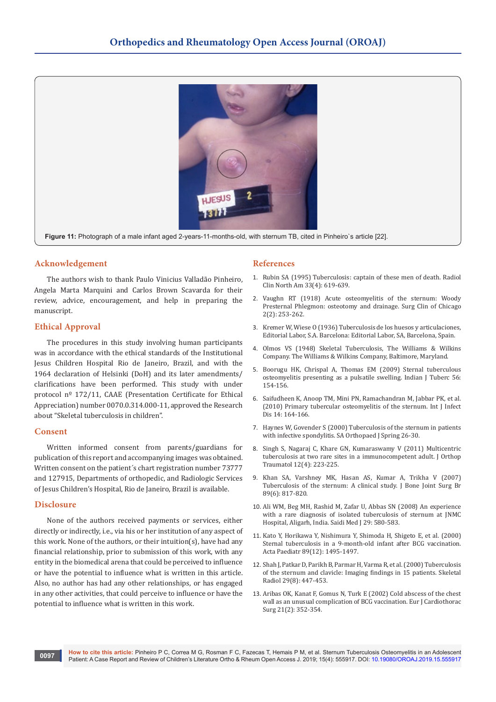

**Figure 11:** Photograph of a male infant aged 2-years-11-months-old, with sternum TB, cited in Pinheiro`s article [22].

## **Acknowledgement**

The authors wish to thank Paulo Vinicius Valladão Pinheiro, Angela Marta Marquini and Carlos Brown Scavarda for their review, advice, encouragement, and help in preparing the manuscript.

## **Ethical Approval**

The procedures in this study involving human participants was in accordance with the ethical standards of the Institutional Jesus Children Hospital Rio de Janeiro, Brazil, and with the 1964 declaration of Helsinki (DoH) and its later amendments/ clarifications have been performed. This study with under protocol nº 172/11, CAAE (Presentation Certificate for Ethical Appreciation) number 0070.0.314.000-11, approved the Research about "Skeletal tuberculosis in children".

#### **Consent**

Written informed consent from parents/guardians for publication of this report and accompanying images was obtained. Written consent on the patient´s chart registration number 73777 and 127915, Departments of orthopedic, and Radiologic Services of Jesus Children's Hospital, Rio de Janeiro, Brazil is available.

#### **Disclosure**

None of the authors received payments or services, either directly or indirectly, i.e., via his or her institution of any aspect of this work. None of the authors, or their intuition(s), have had any financial relationship, prior to submission of this work, with any entity in the biomedical arena that could be perceived to influence or have the potential to influence what is written in this article. Also, no author has had any other relationships, or has engaged in any other activities, that could perceive to influence or have the potential to influence what is written in this work.

#### **References**

- 1. [Rubin SA \(1995\) Tuberculosis: captain of these men of death. Radiol](https://www.ncbi.nlm.nih.gov/pubmed/7610235)  [Clin North Am 33\(4\): 619-639.](https://www.ncbi.nlm.nih.gov/pubmed/7610235)
- 2. Vaughn RT (1918) Acute osteomyelitis of the sternum: Woody Presternal Phlegmon: osteotomy and drainage. Surg Clin of Chicago 2(2): 253-262.
- 3. Kremer W, Wiese O (1936) Tuberculosis de los huesos y articulaciones, Editorial Labor, S.A. Barcelona: Editorial Labor, SA, Barcelona, Spain.
- 4. Olmos VS (1948) Skeletal Tuberculosis, The Williams & Wilkins Company. The Williams & Wilkins Company, Baltimore, Maryland.
- 5. [Boorugu HK, Chrispal A, Thomas EM \(2009\) Sternal tuberculous](https://www.ncbi.nlm.nih.gov/pubmed/20349757)  [osteomyelitis presenting as a pulsatile swelling. Indian J Tuberc 56:](https://www.ncbi.nlm.nih.gov/pubmed/20349757)  [154-156.](https://www.ncbi.nlm.nih.gov/pubmed/20349757)
- 6. [Saifudheen K, Anoop TM, Mini PN, Ramachandran M, Jabbar PK, et al.](https://www.ijidonline.com/article/S1201-9712(09)00157-X/pdf)  [\(2010\) Primary tubercular osteomyelitis of the sternum. Int J Infect](https://www.ijidonline.com/article/S1201-9712(09)00157-X/pdf)  [Dis 14: 164-166.](https://www.ijidonline.com/article/S1201-9712(09)00157-X/pdf)
- 7. [Haynes W, Govender S \(2000\) Tuberculosis of the sternum in patients](http://www.scielo.org.za/scielo.php?script=sci_arttext&pid=S1681-150X2010000300005)  [with infective spondylitis. SA Orthopaed J Spring 26-30.](http://www.scielo.org.za/scielo.php?script=sci_arttext&pid=S1681-150X2010000300005)
- 8. [Singh S, Nagaraj C, Khare GN, Kumaraswamy V \(2011\) Multicentric](https://www.ncbi.nlm.nih.gov/pubmed/22006175)  [tuberculosis at two rare sites in a immunocompetent adult. J Orthop](https://www.ncbi.nlm.nih.gov/pubmed/22006175)  [Traumatol 12\(4\): 223-225.](https://www.ncbi.nlm.nih.gov/pubmed/22006175)
- 9. [Khan SA, Varshney MK, Hasan AS, Kumar A, Trikha V \(2007\)](https://www.ncbi.nlm.nih.gov/pubmed/17613511)  [Tuberculosis of the sternum: A clinical study. J Bone Joint Surg Br](https://www.ncbi.nlm.nih.gov/pubmed/17613511)  [89\(6\): 817-820.](https://www.ncbi.nlm.nih.gov/pubmed/17613511)
- 10. [Ali WM, Beg MH, Rashid M, Zafar U, Abbas SN \(2008\) An experience](https://www.ncbi.nlm.nih.gov/pubmed/18382803)  [with a rare diagnosis of isolated tuberculosis of sternum at JNMC](https://www.ncbi.nlm.nih.gov/pubmed/18382803)  [Hospital, Aligarh, India. Saidi Med J 29: 580-583.](https://www.ncbi.nlm.nih.gov/pubmed/18382803)
- 11. [Kato Y, Horikawa Y, Nishimura Y, Shimoda H, Shigeto E, et al. \(2000\)](https://www.ncbi.nlm.nih.gov/pubmed/11195244)  [Sternal tuberculosis in a 9-month-old infant after BCG vaccination.](https://www.ncbi.nlm.nih.gov/pubmed/11195244)  [Acta Paediatr 89\(12\): 1495-1497.](https://www.ncbi.nlm.nih.gov/pubmed/11195244)
- 12. [Shah J, Patkar D, Parikh B, Parmar H, Varma R, et al. \(2000\) Tuberculosis](https://www.ncbi.nlm.nih.gov/pubmed/11026712)  [of the sternum and clavicle: Imaging findings in 15 patients. Skeletal](https://www.ncbi.nlm.nih.gov/pubmed/11026712)  [Radiol 29\(8\): 447-453.](https://www.ncbi.nlm.nih.gov/pubmed/11026712)
- 13. [Aribas OK, Kanat F, Gomus N, Turk E \(2002\) Cold abscess of the chest](https://www.ncbi.nlm.nih.gov/pubmed/11825754)  [wall as an unusual complication of BCG vaccination. Eur J Cardiothorac](https://www.ncbi.nlm.nih.gov/pubmed/11825754)  [Surg 21\(2\): 352-354.](https://www.ncbi.nlm.nih.gov/pubmed/11825754)